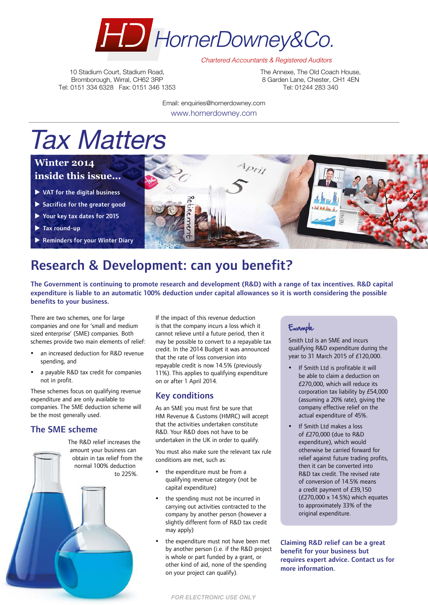

**Chartered Accountants & Registered Auditors** 

10 Stadium Court, Stadium Road, Bromborough, Wirral, CH62 3RP Tel: 0151 334 6328 Fax: 0151 346 1353 The Annexe, The Old Coach House, 8 Garden Lane, Chester, CH1 4EN Tel: 01244 283 340

Email: enquiries@hornerdowney.com www.hornerdowney.com

# Tax Matters

### **Winter 2014 inside this issue...**

- $\blacktriangleright$  VAT for the digital business
- $\blacktriangleright$  Sacrifice for the greater good
- $\blacktriangleright$  Your key tax dates for 2015
- $\blacktriangleright$  Tax round-up
- $\blacktriangleright$  Reminders for your Winter Diary



# Research & Development: can you benefit?

The Government is continuing to promote research and development (R&D) with a range of tax incentives. R&D capital expenditure is liable to an automatic 100% deduction under capital allowances so it is worth considering the possible benefits to your business.

There are two schemes, one for large companies and one for 'small and medium sized enterprise' (SME) companies. Both schemes provide two main elements of relief:

- an increased deduction for R&D revenue spending, and
- a payable R&D tax credit for companies not in profit.

These schemes focus on qualifying revenue expenditure and are only available to companies. The SME deduction scheme will be the most generally used.

#### The SME scheme



If the impact of this revenue deduction is that the company incurs a loss which it cannot relieve until a future period, then it may be possible to convert to a repayable tax credit. In the 2014 Budget it was announced that the rate of loss conversion into repayable credit is now 14.5% (previously 11%). This applies to qualifying expenditure on or after 1 April 2014.

#### Key conditions

As an SME you must first be sure that HM Revenue & Customs (HMRC) will accept that the activities undertaken constitute R&D. Your R&D does not have to be undertaken in the UK in order to qualify.

You must also make sure the relevant tax rule conditions are met, such as:

- the expenditure must be from a qualifying revenue category (not be capital expenditure)
- the spending must not be incurred in carrying out activities contracted to the company by another person (however a slightly different form of R&D tax credit may apply)
- the expenditure must not have been met by another person (i.e. if the R&D project is whole or part funded by a grant, or other kind of aid, none of the spending on your project can qualify).

### Example

Smith Ltd is an SME and incurs qualifying R&D expenditure during the year to 31 March 2015 of £120,000.

- If Smith Ltd is profitable it will be able to claim a deduction on £270,000, which will reduce its corporation tax liability by £54,000 (assuming a 20% rate), giving the company effective relief on the actual expenditure of 45%.
- If Smith Ltd makes a loss of £270,000 (due to R&D expenditure), which would otherwise be carried forward for relief against future trading profits, then it can be converted into R&D tax credit. The revised rate of conversion of 14.5% means a credit payment of £39,150 (£270,000 x 14.5%) which equates to approximately 33% of the original expenditure.

Claiming R&D relief can be a great benefit for your business but requires expert advice. Contact us for more information.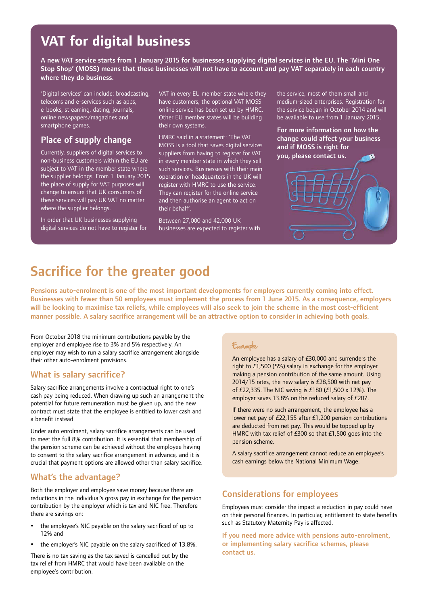### **VAT for digital business**

A new VAT service starts from 1 January 2015 for businesses supplying digital services in the EU. The 'Mini One Stop Shop' (MOSS) means that these businesses will not have to account and pay VAT separately in each country where they do business.

'Digital services' can include: broadcasting, telecoms and e-services such as apps, e-books, streaming, dating, journals, online newspapers/magazines and smartphone games.

#### Place of supply change

Currently, suppliers of digital services to non-business customers within the EU are subject to VAT in the member state where the supplier belongs. From 1 January 2015 the place of supply for VAT purposes will change to ensure that UK consumers of these services will pay UK VAT no matter where the supplier belongs.

In order that UK businesses supplying digital services do not have to register for VAT in every EU member state where they have customers, the optional VAT MOSS online service has been set up by HMRC. Other EU member states will be building their own systems.

HMRC said in a statement: 'The VAT MOSS is a tool that saves digital services suppliers from having to register for VAT in every member state in which they sell such services. Businesses with their main operation or headquarters in the UK will register with HMRC to use the service. They can register for the online service and then authorise an agent to act on their behalf'.

Between 27,000 and 42,000 UK businesses are expected to register with the service, most of them small and medium-sized enterprises. Registration for the service began in October 2014 and will be available to use from 1 January 2015.

For more information on how the change could affect your business and if MOSS is right for you, please contact us.



Pensions auto-enrolment is one of the most important developments for employers currently coming into effect. Businesses with fewer than 50 employees must implement the process from 1 June 2015. As a consequence, employers will be looking to maximise tax reliefs, while employees will also seek to join the scheme in the most cost-efficient manner possible. A salary sacrifice arrangement will be an attractive option to consider in achieving both goals.

From October 2018 the minimum contributions payable by the employer and employee rise to 3% and 5% respectively. An employer may wish to run a salary sacrifice arrangement alongside their other auto-enrolment provisions.

#### What is salary sacrifice?

Salary sacrifice arrangements involve a contractual right to one's cash pay being reduced. When drawing up such an arrangement the potential for future remuneration must be given up, and the new contract must state that the employee is entitled to lower cash and a benefit instead.

Under auto enrolment, salary sacrifice arrangements can be used to meet the full 8% contribution. It is essential that membership of the pension scheme can be achieved without the employee having to consent to the salary sacrifice arrangement in advance, and it is crucial that payment options are allowed other than salary sacrifice.

#### What's the advantage?

Both the employer and employee save money because there are reductions in the individual's gross pay in exchange for the pension contribution by the employer which is tax and NIC free. Therefore there are savings on:

- the employee's NIC payable on the salary sacrificed of up to 12% and
- the employer's NIC payable on the salary sacrificed of 13.8%.

There is no tax saving as the tax saved is cancelled out by the tax relief from HMRC that would have been available on the employee's contribution.

#### Example

An employee has a salary of £30,000 and surrenders the right to £1,500 (5%) salary in exchange for the employer making a pension contribution of the same amount. Using 2014/15 rates, the new salary is £28,500 with net pay of £22,335. The NIC saving is £180 (£1,500 x 12%). The employer saves 13.8% on the reduced salary of £207.

If there were no such arrangement, the employee has a lower net pay of £22,155 after £1,200 pension contributions are deducted from net pay. This would be topped up by HMRC with tax relief of £300 so that £1,500 goes into the pension scheme.

A salary sacrifice arrangement cannot reduce an employee's cash earnings below the National Minimum Wage.

#### Considerations for employees

Employees must consider the impact a reduction in pay could have on their personal finances. In particular, entitlement to state benefits such as Statutory Maternity Pay is affected.

If you need more advice with pensions auto-enrolment, or implementing salary sacrifice schemes, please contact us.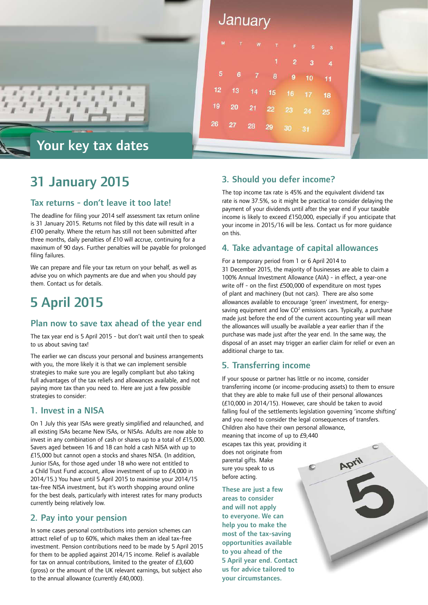

| s  |
|----|
| 4  |
| 11 |
| 18 |
| 25 |
|    |
|    |

### 31 January 2015

#### Tax returns - don't leave it too late!

The deadline for filing your 2014 self assessment tax return online is 31 January 2015. Returns not filed by this date will result in a £100 penalty. Where the return has still not been submitted after three months, daily penalties of £10 will accrue, continuing for a maximum of 90 days. Further penalties will be payable for prolonged filing failures.

We can prepare and file your tax return on your behalf, as well as advise you on which payments are due and when you should pay them. Contact us for details.

## 5 April 2015

#### Plan now to save tax ahead of the year end

The tax year end is 5 April 2015 - but don't wait until then to speak to us about saving tax!

The earlier we can discuss your personal and business arrangements with you, the more likely it is that we can implement sensible strategies to make sure you are legally compliant but also taking full advantages of the tax reliefs and allowances available, and not paying more tax than you need to. Here are just a few possible strategies to consider:

#### 1. Invest in a NISA

On 1 July this year ISAs were greatly simplified and relaunched, and all existing ISAs became New ISAs, or NISAs. Adults are now able to invest in any combination of cash or shares up to a total of £15,000. Savers aged between 16 and 18 can hold a cash NISA with up to £15,000 but cannot open a stocks and shares NISA. (In addition, Junior ISAs, for those aged under 18 who were not entitled to a Child Trust Fund account, allow investment of up to £4,000 in 2014/15.) You have until 5 April 2015 to maximise your 2014/15 tax-free NISA investment, but it's worth shopping around online for the best deals, particularly with interest rates for many products currently being relatively low.

#### 2. Pay into your pension

In some cases personal contributions into pension schemes can attract relief of up to 60%, which makes them an ideal tax-free investment. Pension contributions need to be made by 5 April 2015 for them to be applied against 2014/15 income. Relief is available for tax on annual contributions, limited to the greater of £3,600 (gross) or the amount of the UK relevant earnings, but subject also to the annual allowance (currently £40,000).

#### 3. Should you defer income?

The top income tax rate is 45% and the equivalent dividend tax rate is now 37.5%, so it might be practical to consider delaying the payment of your dividends until after the year end if your taxable income is likely to exceed £150,000, especially if you anticipate that your income in 2015/16 will be less. Contact us for more guidance on this.

#### 4. Take advantage of capital allowances

For a temporary period from 1 or 6 April 2014 to 31 December 2015, the majority of businesses are able to claim a 100% Annual Investment Allowance (AIA) - in effect, a year-one write off - on the first £500,000 of expenditure on most types of plant and machinery (but not cars). There are also some allowances available to encourage 'green' investment, for energysaving equipment and low  $CO<sup>2</sup>$  emissions cars. Typically, a purchase made just before the end of the current accounting year will mean the allowances will usually be available a year earlier than if the purchase was made just after the year end. In the same way, the disposal of an asset may trigger an earlier claim for relief or even an additional charge to tax.

#### 5. Transferring income

If your spouse or partner has little or no income, consider transferring income (or income-producing assets) to them to ensure that they are able to make full use of their personal allowances (£10,000 in 2014/15). However, care should be taken to avoid falling foul of the settlements legislation governing 'income shifting' and you need to consider the legal consequences of transfers. Children also have their own personal allowance,

meaning that income of up to £9,440 escapes tax this year, providing it does not originate from parental gifts. Make C sure you speak to us before acting.

These are just a few areas to consider and will not apply to everyone. We can help you to make the most of the tax-saving opportunities available to you ahead of the 5 April year end. Contact us for advice tailored to your circumstances.